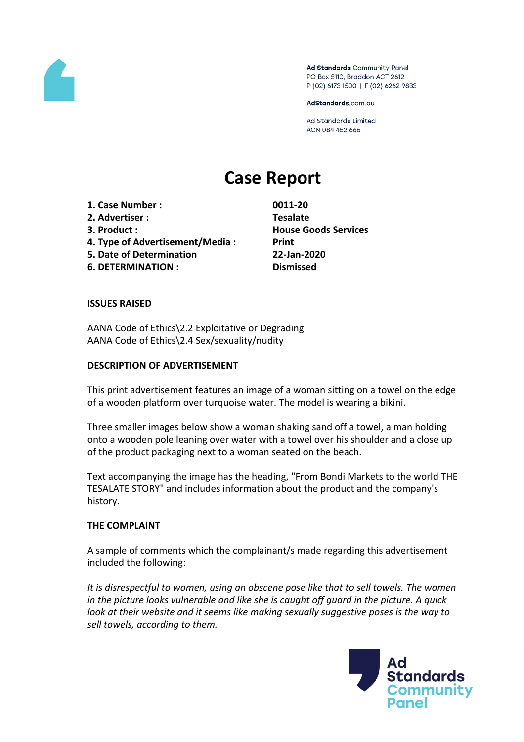

Ad Standards Community Panel PO Box 5110, Braddon ACT 2612 P (02) 6173 1500 | F (02) 6262 9833

AdStandards.com.au

**Ad Standards Limited** ACN 084 452 666

# **Case Report**

**1. Case Number : 0011-20 2. Advertiser : Tesalate 3. Product : House Goods Services 4. Type of Advertisement/Media : Print 5. Date of Determination 22-Jan-2020 6. DETERMINATION : Dismissed**

## **ISSUES RAISED**

AANA Code of Ethics\2.2 Exploitative or Degrading AANA Code of Ethics\2.4 Sex/sexuality/nudity

#### **DESCRIPTION OF ADVERTISEMENT**

This print advertisement features an image of a woman sitting on a towel on the edge of a wooden platform over turquoise water. The model is wearing a bikini.

Three smaller images below show a woman shaking sand off a towel, a man holding onto a wooden pole leaning over water with a towel over his shoulder and a close up of the product packaging next to a woman seated on the beach.

Text accompanying the image has the heading, "From Bondi Markets to the world THE TESALATE STORY" and includes information about the product and the company's history.

#### **THE COMPLAINT**

A sample of comments which the complainant/s made regarding this advertisement included the following:

*It is disrespectful to women, using an obscene pose like that to sell towels. The women in the picture looks vulnerable and like she is caught off guard in the picture. A quick look at their website and it seems like making sexually suggestive poses is the way to sell towels, according to them.*

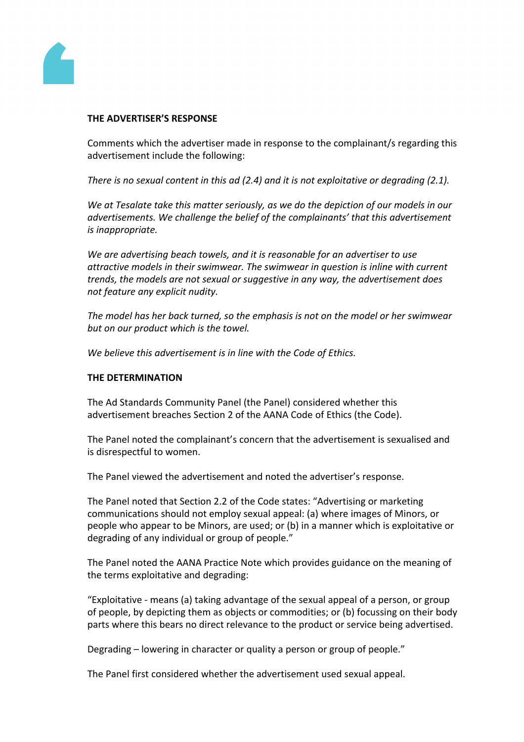

### **THE ADVERTISER'S RESPONSE**

Comments which the advertiser made in response to the complainant/s regarding this advertisement include the following:

*There is no sexual content in this ad (2.4) and it is not exploitative or degrading (2.1).*

*We at Tesalate take this matter seriously, as we do the depiction of our models in our advertisements. We challenge the belief of the complainants' that this advertisement is inappropriate.*

*We are advertising beach towels, and it is reasonable for an advertiser to use attractive models in their swimwear. The swimwear in question is inline with current trends, the models are not sexual or suggestive in any way, the advertisement does not feature any explicit nudity.*

*The model has her back turned, so the emphasis is not on the model or her swimwear but on our product which is the towel.*

*We believe this advertisement is in line with the Code of Ethics.*

#### **THE DETERMINATION**

The Ad Standards Community Panel (the Panel) considered whether this advertisement breaches Section 2 of the AANA Code of Ethics (the Code).

The Panel noted the complainant's concern that the advertisement is sexualised and is disrespectful to women.

The Panel viewed the advertisement and noted the advertiser's response.

The Panel noted that Section 2.2 of the Code states: "Advertising or marketing communications should not employ sexual appeal: (a) where images of Minors, or people who appear to be Minors, are used; or (b) in a manner which is exploitative or degrading of any individual or group of people."

The Panel noted the AANA Practice Note which provides guidance on the meaning of the terms exploitative and degrading:

"Exploitative - means (a) taking advantage of the sexual appeal of a person, or group of people, by depicting them as objects or commodities; or (b) focussing on their body parts where this bears no direct relevance to the product or service being advertised.

Degrading – lowering in character or quality a person or group of people."

The Panel first considered whether the advertisement used sexual appeal.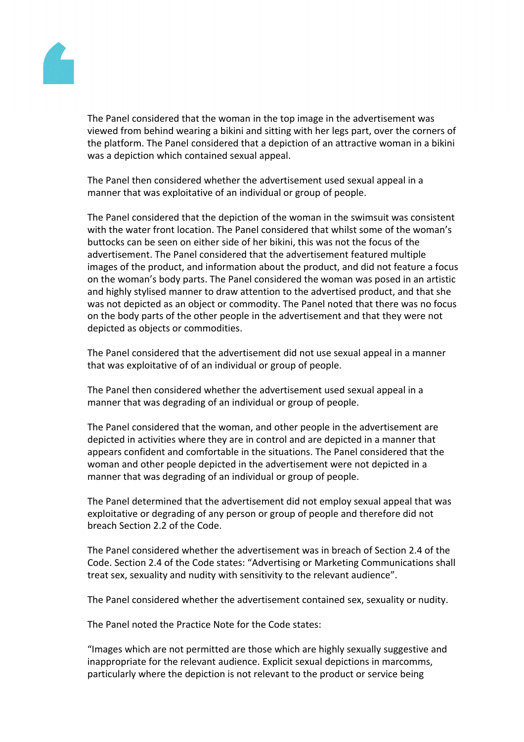

The Panel considered that the woman in the top image in the advertisement was viewed from behind wearing a bikini and sitting with her legs part, over the corners of the platform. The Panel considered that a depiction of an attractive woman in a bikini was a depiction which contained sexual appeal.

The Panel then considered whether the advertisement used sexual appeal in a manner that was exploitative of an individual or group of people.

The Panel considered that the depiction of the woman in the swimsuit was consistent with the water front location. The Panel considered that whilst some of the woman's buttocks can be seen on either side of her bikini, this was not the focus of the advertisement. The Panel considered that the advertisement featured multiple images of the product, and information about the product, and did not feature a focus on the woman's body parts. The Panel considered the woman was posed in an artistic and highly stylised manner to draw attention to the advertised product, and that she was not depicted as an object or commodity. The Panel noted that there was no focus on the body parts of the other people in the advertisement and that they were not depicted as objects or commodities.

The Panel considered that the advertisement did not use sexual appeal in a manner that was exploitative of of an individual or group of people.

The Panel then considered whether the advertisement used sexual appeal in a manner that was degrading of an individual or group of people.

The Panel considered that the woman, and other people in the advertisement are depicted in activities where they are in control and are depicted in a manner that appears confident and comfortable in the situations. The Panel considered that the woman and other people depicted in the advertisement were not depicted in a manner that was degrading of an individual or group of people.

The Panel determined that the advertisement did not employ sexual appeal that was exploitative or degrading of any person or group of people and therefore did not breach Section 2.2 of the Code.

The Panel considered whether the advertisement was in breach of Section 2.4 of the Code. Section 2.4 of the Code states: "Advertising or Marketing Communications shall treat sex, sexuality and nudity with sensitivity to the relevant audience".

The Panel considered whether the advertisement contained sex, sexuality or nudity.

The Panel noted the Practice Note for the Code states:

"Images which are not permitted are those which are highly sexually suggestive and inappropriate for the relevant audience. Explicit sexual depictions in marcomms, particularly where the depiction is not relevant to the product or service being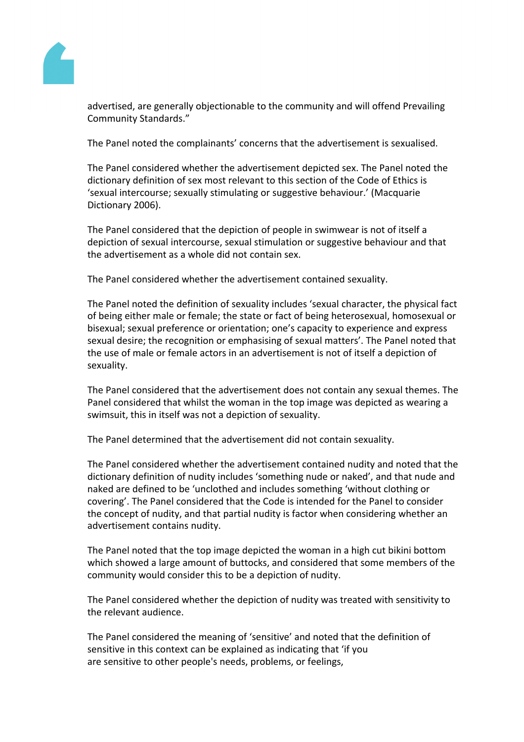

advertised, are generally objectionable to the community and will offend Prevailing Community Standards."

The Panel noted the complainants' concerns that the advertisement is sexualised.

The Panel considered whether the advertisement depicted sex. The Panel noted the dictionary definition of sex most relevant to this section of the Code of Ethics is 'sexual intercourse; sexually stimulating or suggestive behaviour.' (Macquarie Dictionary 2006).

The Panel considered that the depiction of people in swimwear is not of itself a depiction of sexual intercourse, sexual stimulation or suggestive behaviour and that the advertisement as a whole did not contain sex.

The Panel considered whether the advertisement contained sexuality.

The Panel noted the definition of sexuality includes 'sexual character, the physical fact of being either male or female; the state or fact of being heterosexual, homosexual or bisexual; sexual preference or orientation; one's capacity to experience and express sexual desire; the recognition or emphasising of sexual matters'. The Panel noted that the use of male or female actors in an advertisement is not of itself a depiction of sexuality.

The Panel considered that the advertisement does not contain any sexual themes. The Panel considered that whilst the woman in the top image was depicted as wearing a swimsuit, this in itself was not a depiction of sexuality.

The Panel determined that the advertisement did not contain sexuality.

The Panel considered whether the advertisement contained nudity and noted that the dictionary definition of nudity includes 'something nude or naked', and that nude and naked are defined to be 'unclothed and includes something 'without clothing or covering'. The Panel considered that the Code is intended for the Panel to consider the concept of nudity, and that partial nudity is factor when considering whether an advertisement contains nudity.

The Panel noted that the top image depicted the woman in a high cut bikini bottom which showed a large amount of buttocks, and considered that some members of the community would consider this to be a depiction of nudity.

The Panel considered whether the depiction of nudity was treated with sensitivity to the relevant audience.

The Panel considered the meaning of 'sensitive' and noted that the definition of sensitive in this context can be explained as indicating that 'if you are sensitive to other people's needs, problems, or feelings,